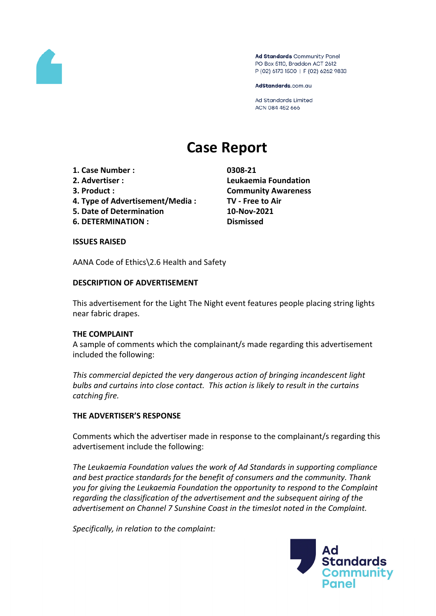

Ad Standards Community Panel PO Box 5110, Braddon ACT 2612 P (02) 6173 1500 | F (02) 6262 9833

AdStandards.com.au

**Ad Standards Limited** ACN 084 452 666

# **Case Report**

- **1. Case Number : 0308-21**
- 
- 
- **4. Type of Advertisement/Media : TV - Free to Air**
- **5. Date of Determination 10-Nov-2021**
- **6. DETERMINATION : Dismissed**

**2. Advertiser : Leukaemia Foundation 3. Product : Community Awareness**

#### **ISSUES RAISED**

AANA Code of Ethics\2.6 Health and Safety

## **DESCRIPTION OF ADVERTISEMENT**

This advertisement for the Light The Night event features people placing string lights near fabric drapes.

## **THE COMPLAINT**

A sample of comments which the complainant/s made regarding this advertisement included the following:

*This commercial depicted the very dangerous action of bringing incandescent light bulbs and curtains into close contact. This action is likely to result in the curtains catching fire.*

## **THE ADVERTISER'S RESPONSE**

Comments which the advertiser made in response to the complainant/s regarding this advertisement include the following:

*The Leukaemia Foundation values the work of Ad Standards in supporting compliance and best practice standards for the benefit of consumers and the community. Thank you for giving the Leukaemia Foundation the opportunity to respond to the Complaint regarding the classification of the advertisement and the subsequent airing of the advertisement on Channel 7 Sunshine Coast in the timeslot noted in the Complaint.*

*Specifically, in relation to the complaint:*

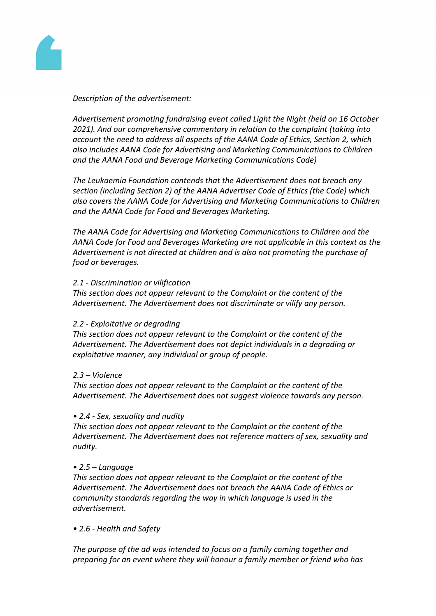

### *Description of the advertisement:*

*Advertisement promoting fundraising event called Light the Night (held on 16 October 2021). And our comprehensive commentary in relation to the complaint (taking into account the need to address all aspects of the AANA Code of Ethics, Section 2, which also includes AANA Code for Advertising and Marketing Communications to Children and the AANA Food and Beverage Marketing Communications Code)*

*The Leukaemia Foundation contends that the Advertisement does not breach any section (including Section 2) of the AANA Advertiser Code of Ethics (the Code) which also covers the AANA Code for Advertising and Marketing Communications to Children and the AANA Code for Food and Beverages Marketing.*

*The AANA Code for Advertising and Marketing Communications to Children and the AANA Code for Food and Beverages Marketing are not applicable in this context as the Advertisement is not directed at children and is also not promoting the purchase of food or beverages.*

#### *2.1 - Discrimination or vilification*

*This section does not appear relevant to the Complaint or the content of the Advertisement. The Advertisement does not discriminate or vilify any person.*

#### *2.2 - Exploitative or degrading*

*This section does not appear relevant to the Complaint or the content of the Advertisement. The Advertisement does not depict individuals in a degrading or exploitative manner, any individual or group of people.*

#### *2.3 – Violence*

*This section does not appear relevant to the Complaint or the content of the Advertisement. The Advertisement does not suggest violence towards any person.*

#### *• 2.4 - Sex, sexuality and nudity*

*This section does not appear relevant to the Complaint or the content of the Advertisement. The Advertisement does not reference matters of sex, sexuality and nudity.*

#### *• 2.5 – Language*

*This section does not appear relevant to the Complaint or the content of the Advertisement. The Advertisement does not breach the AANA Code of Ethics or community standards regarding the way in which language is used in the advertisement.*

*• 2.6 - Health and Safety*

*The purpose of the ad was intended to focus on a family coming together and preparing for an event where they will honour a family member or friend who has*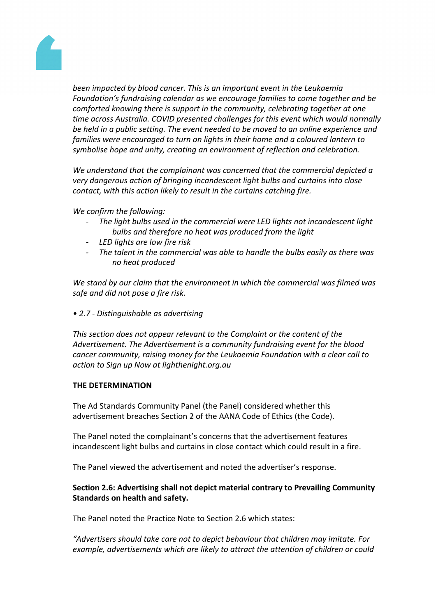

*been impacted by blood cancer. This is an important event in the Leukaemia Foundation's fundraising calendar as we encourage families to come together and be comforted knowing there is support in the community, celebrating together at one time across Australia. COVID presented challenges for this event which would normally be held in a public setting. The event needed to be moved to an online experience and families were encouraged to turn on lights in their home and a coloured lantern to symbolise hope and unity, creating an environment of reflection and celebration.*

*We understand that the complainant was concerned that the commercial depicted a very dangerous action of bringing incandescent light bulbs and curtains into close contact, with this action likely to result in the curtains catching fire.*

*We confirm the following:*

- *- The light bulbs used in the commercial were LED lights not incandescent light bulbs and therefore no heat was produced from the light*
- *- LED lights are low fire risk*
- *- The talent in the commercial was able to handle the bulbs easily as there was no heat produced*

*We stand by our claim that the environment in which the commercial was filmed was safe and did not pose a fire risk.*

*• 2.7 - Distinguishable as advertising*

*This section does not appear relevant to the Complaint or the content of the Advertisement. The Advertisement is a community fundraising event for the blood cancer community, raising money for the Leukaemia Foundation with a clear call to action to Sign up Now at lighthenight.org.au*

#### **THE DETERMINATION**

The Ad Standards Community Panel (the Panel) considered whether this advertisement breaches Section 2 of the AANA Code of Ethics (the Code).

The Panel noted the complainant's concerns that the advertisement features incandescent light bulbs and curtains in close contact which could result in a fire.

The Panel viewed the advertisement and noted the advertiser's response.

## **Section 2.6: Advertising shall not depict material contrary to Prevailing Community Standards on health and safety.**

The Panel noted the Practice Note to Section 2.6 which states:

*"Advertisers should take care not to depict behaviour that children may imitate. For example, advertisements which are likely to attract the attention of children or could*